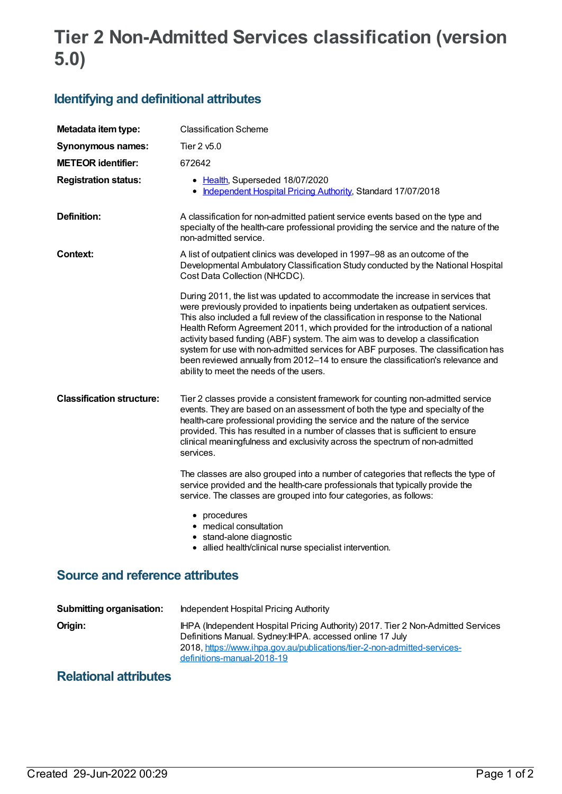## **Tier 2 Non-Admitted Services classification (version 5.0)**

## **Identifying and definitional attributes**

| Metadata item type:                    | <b>Classification Scheme</b>                                                                                                                                                                                                                                                                                                                                                                                                                                                                                                                                                                                                                    |
|----------------------------------------|-------------------------------------------------------------------------------------------------------------------------------------------------------------------------------------------------------------------------------------------------------------------------------------------------------------------------------------------------------------------------------------------------------------------------------------------------------------------------------------------------------------------------------------------------------------------------------------------------------------------------------------------------|
| <b>Synonymous names:</b>               | Tier 2 v5.0                                                                                                                                                                                                                                                                                                                                                                                                                                                                                                                                                                                                                                     |
| <b>METEOR identifier:</b>              | 672642                                                                                                                                                                                                                                                                                                                                                                                                                                                                                                                                                                                                                                          |
| <b>Registration status:</b>            | • Health, Superseded 18/07/2020<br>Independent Hospital Pricing Authority, Standard 17/07/2018<br>٠                                                                                                                                                                                                                                                                                                                                                                                                                                                                                                                                             |
| Definition:                            | A classification for non-admitted patient service events based on the type and<br>specialty of the health-care professional providing the service and the nature of the<br>non-admitted service.                                                                                                                                                                                                                                                                                                                                                                                                                                                |
| <b>Context:</b>                        | A list of outpatient clinics was developed in 1997–98 as an outcome of the<br>Developmental Ambulatory Classification Study conducted by the National Hospital<br>Cost Data Collection (NHCDC).                                                                                                                                                                                                                                                                                                                                                                                                                                                 |
|                                        | During 2011, the list was updated to accommodate the increase in services that<br>were previously provided to inpatients being undertaken as outpatient services.<br>This also included a full review of the classification in response to the National<br>Health Reform Agreement 2011, which provided for the introduction of a national<br>activity based funding (ABF) system. The aim was to develop a classification<br>system for use with non-admitted services for ABF purposes. The classification has<br>been reviewed annually from 2012-14 to ensure the classification's relevance and<br>ability to meet the needs of the users. |
| <b>Classification structure:</b>       | Tier 2 classes provide a consistent framework for counting non-admitted service<br>events. They are based on an assessment of both the type and specialty of the<br>health-care professional providing the service and the nature of the service<br>provided. This has resulted in a number of classes that is sufficient to ensure<br>clinical meaningfulness and exclusivity across the spectrum of non-admitted<br>services.<br>The classes are also grouped into a number of categories that reflects the type of                                                                                                                           |
|                                        | service provided and the health-care professionals that typically provide the<br>service. The classes are grouped into four categories, as follows:<br>• procedures                                                                                                                                                                                                                                                                                                                                                                                                                                                                             |
|                                        | • medical consultation<br>· stand-alone diagnostic<br>• allied health/clinical nurse specialist intervention.                                                                                                                                                                                                                                                                                                                                                                                                                                                                                                                                   |
| <b>Source and reference attributes</b> |                                                                                                                                                                                                                                                                                                                                                                                                                                                                                                                                                                                                                                                 |
| <b>Submitting organisation:</b>        | <b>Independent Hospital Pricing Authority</b>                                                                                                                                                                                                                                                                                                                                                                                                                                                                                                                                                                                                   |
| Origin:                                | IHPA (Independent Hospital Pricing Authority) 2017. Tier 2 Non-Admitted Services                                                                                                                                                                                                                                                                                                                                                                                                                                                                                                                                                                |

Definitions Manual. Sydney:IHPA. accessed online 17 July

definitions-manual-2018-19

2018, [https://www.ihpa.gov.au/publications/tier-2-non-admitted-services-](https://www.ihpa.gov.au/publications/tier-2-non-admitted-services-definitions-manual-2018-19)

## **Relational attributes**